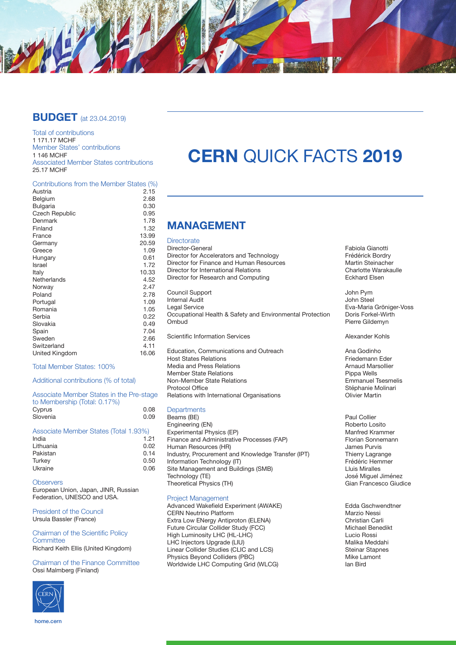

# **BUDGET** (at 23.04.2019)

Total of contributions 1 171.17 MCHF Member States' contributions 1 146 MCHF Associated Member States contributions 25.17 MCHF

### Contributions from the Member States (%)

| Austria               | 2.15  |
|-----------------------|-------|
| Belgium               | 2.68  |
| <b>Bulgaria</b>       | 0.30  |
| <b>Czech Republic</b> | 0.95  |
| Denmark               | 1.78  |
| Finland               | 1.32  |
| France                | 13.99 |
| Germany               | 20.59 |
| Greece                | 1.09  |
| Hungary               | 0.61  |
| Israel                | 1.72  |
| Italy                 | 10.33 |
| Netherlands           | 4.52  |
| Norway                | 2.47  |
| Poland                | 2.78  |
| Portugal              | 1.09  |
| Romania               | 1.05  |
| Serbia                | 0.22  |
| Slovakia              | 0.49  |
| Spain                 | 7.04  |
| Sweden                | 2.66  |
| Switzerland           | 4.11  |
| United Kingdom        | 16.06 |
|                       |       |

#### Total Member States: 100%

Additional contributions (% of total)

#### Associate Member States in the Pre-stage to Membership (Total: 0.17%) Cyprus 0.08<br>Slovenia 0.09 Slovenia

#### Associate Member States (Total 1.93%)<br>India 1.21 India 1.21 Lithuania 0.02 Pakistan 0.14<br>Turkey 0.50 Turkey 0.50 Ukraine 0.06

**Observers** European Union, Japan, JINR, Russian Federation, UNESCO and USA.

President of the Council Ursula Bassler (France)

#### Chairman of the Scientific Policy **Committee** Richard Keith Ellis (United Kingdom)

Chairman of the Finance Committee Ossi Malmberg (Finland)



# **CERN** QUICK FACTS **2019**

# **MANAGEMENT**

**Directorate** 

Director-General **Fabiola Gianotti**<br>
Director for Accelerators and Technology **Frequence Control** Frédérick Bordry Director for Accelerators and Technology<br>
Director for Finance and Human Resources<br>
Martin Steinacher Director for Finance and Human Resources<br>
Director for International Relations<br>
Charlotte Warakaulle Director for International Relations<br>
Director for Research and Computing<br>
Charlotte Marakaulle Relations Director for Research and Computing Council Support John Pym **Internal Audit**<br>Legal Service Occupational Health & Safety and Environmental Protection<br>Ombud Scientific Information Services Alexander Kohls Education, Communications and Outreach<br>
Host States Relations<br>
Friedemann Eder Host States
 Relations Friedemann Eder Media and Press Relations and Arnaud Marsolliers and Arnaud Marsolliers Arnaud Marsolliers Arnaud Marsolliers<br>Arnaud Marsolliers Arnaud Marsolliers Arnaud Marsolliers Arnaud Marsolliers Arnaud Marsolliers Arnaud Marsolli Member State Relations<br>
Non-Member State Relations<br>
Pippa Wells<br>
Emmanuel Tsesmelis Non-Member State Relations<br>Protocol Office

Relations with International Organisations

#### **Departments**

Beams (BE) <br>
Paul Collier<br>
Paul Collier<br>
Paparto Losito Engineering (EN) Roberto Losito Experimental Physics (EP) [2013] Experimental Physics (EP) [2014] Manfred Krammer<br>
Finance and Administrative Processes (FAP) [2013] Florian Sonnemann Finance and Administrative Processes (FAP) Florian Sonne<br>Human Resources (HR) Florian Sonnes Purvis Human Resources (HR) James Purvis Industry, Procurement and Knowledge Transfer (IPT) Thierry Lagrange<br>Information Technology (IT) Frédéric Hemmer Information Technology (IT)<br>
Site Management and Buildings (SMB)<br>
I Luis Miralles Site Management and Buildings (SMB)<br>Technology (TE) Theoretical Physics (TH)

#### Project Management

Advanced Wakefield Experiment (AWAKE) Edda Gschwendtner<br>CERN Neutrino Platform Marzio Nessi CERN Neutrino Platform<br>
Extra Low ENergy Antiproton (ELENA) 
Subsetting Contraction Christian Carli Extra Low ENergy Antiproton (ELENA) Christian Carli Future Circular Collider Study (FCC) Michael Benedikt High Luminosity LHC (HL-LHC) Lucio Rossi LHC Injectors Upgrade (LIU)<br>
Linear Collider Studies (CLIC and LCS) Steinar Stannes Linear Collider Studies (CLIC and LCS) Steinar Stapness Steinar Stapness Steinar Stapness Steinar Stapness Steinar Stapness Steinar Stapness Steinar Stapness Steinar Stapness Steinar Stapness Steinar Stapness Steinar Stapn Physics Beyond Colliders (PBC) and the Unit of the Unit of the Unit of the Unit of the Unit of the Unit of the U<br>Morldwide LHC Computing Grid (WLCG) and Bird Worldwide LHC Computing Grid (WLCG)

Eva-Maria Gröniger-Voss<br>Doris Forkel-Wirth Pierre Gildemyn

Stéphanie Molinari<br>Olivier Martin

José Miguel Jiménez<br>Gian Francesco Giudice

home.cern